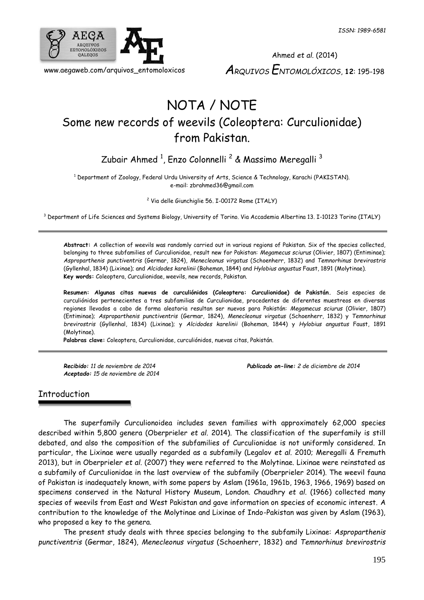

Ahmed *et al.* (2014) *ARQUIVOS ENTOMOLÓXICOS*, **12**: 195-198

# NOTA / NOTE Some new records of weevils (Coleoptera: Curculionidae) from Pakistan.

Zubair Ahmed  $^1$ , Enzo Colonnelli  $^2$  & Massimo Meregalli  $^3$ 

<sup>1</sup> Department of Zoology, Federal Urdu University of Arts, Science & Technology, Karachi (PAKISTAN). e-mail: zbrahmed36@gmail.com

<sup>2</sup> Via delle Giunchiglie 56. I-00172 Rome (ITALY)

<sup>3</sup> Department of Life Sciences and Systems Biology, University of Torino. Via Accademia Albertina 13. I-10123 Torino (ITALY)

**Abstract:** A collection of weevils was randomly carried out in various regions of Pakistan. Six of the species collected, belonging to three subfamilies of Curculionidae, result new for Pakistan: *Megamecus sciurus* (Olivier, 1807) (Entiminae); *Asproparthenis punctiventris* (Germar, 1824), *Menecleonus virgatus* (Schoenherr, 1832) and *Temnorhinus brevirostris* (Gyllenhal, 1834) (Lixinae); and *Alcidodes karelinii* (Boheman, 1844) and *Hylobius angustus* Faust, 1891 (Molytinae). **Key words:** Coleoptera, Curculionidae, weevils, new records, Pakistan.

**Resumen: Algunas citas nuevas de curculiónidos (Coleoptera: Curculionidae) de Pakistán.** Seis especies de curculiónidos pertenecientes a tres subfamilias de Curculionidae, procedentes de diferentes muestreos en diversas regiones llevados a cabo de forma aleatoria resultan ser nuevos para Pakistán: *Megamecus sciurus* (Olivier, 1807) (Entiminae); *Asproparthenis punctiventris* (Germar, 1824), *Menecleonus virgatus* (Schoenherr, 1832) y *Temnorhinus brevirostris* (Gyllenhal, 1834) (Lixinae); y *Alcidodes karelinii* (Boheman, 1844) y *Hylobius angustus* Faust, 1891 (Molytinae).

**Palabras clave:** Coleoptera, Curculionidae, curculiónidos, nuevas citas, Pakistán.

*Aceptado: 15 de noviembre de 2014*

*Recibido: 11 de noviembre de 2014 Publicado on-line: 2 de diciembre de 2014*

## Introduction

The superfamily Curculionoidea includes seven families with approximately 62,000 species described within 5,800 genera (Oberprieler *et al*. 2014). The classification of the superfamily is still debated, and also the composition of the subfamilies of Curculionidae is not uniformly considered. In particular, the Lixinae were usually regarded as a subfamily (Legalov *et al.* 2010; Meregalli & Fremuth 2013), but in Oberprieler *et al*. (2007) they were referred to the Molytinae. Lixinae were reinstated as a subfamily of Curculionidae in the last overview of the subfamily (Oberprieler 2014). The weevil fauna of Pakistan is inadequately known, with some papers by Aslam (1961a, 1961b, 1963, 1966, 1969) based on specimens conserved in the Natural History Museum, London. Chaudhry *et al*. (1966) collected many species of weevils from East and West Pakistan and gave information on species of economic interest. A contribution to the knowledge of the Molytinae and Lixinae of Indo-Pakistan was given by Aslam (1963), who proposed a key to the genera.

The present study deals with three species belonging to the subfamily Lixinae: *Asproparthenis punctiventris* (Germar, 1824), *Menecleonus virgatus* (Schoenherr, 1832) and *Temnorhinus brevirostris*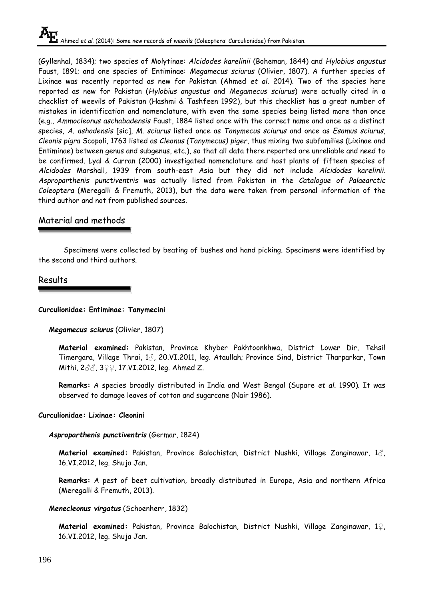(Gyllenhal, 1834); two species of Molytinae: *Alcidodes karelinii* (Boheman, 1844) and *Hylobius angustus* Faust, 1891; and one species of Entiminae: *Megamecus sciurus* (Olivier, 1807). A further species of Lixinae was recently reported as new for Pakistan (Ahmed *et al*. 2014). Two of the species here reported as new for Pakistan (*Hylobius angustus* and *Megamecus sciurus*) were actually cited in a checklist of weevils of Pakistan (Hashmi & Tashfeen 1992), but this checklist has a great number of mistakes in identification and nomenclature, with even the same species being listed more than once (e.g., *Ammocleonus aschabadensis* Faust, 1884 listed once with the correct name and once as a distinct species, *A. ashadensis* [sic], *M. sciurus* listed once as *Tanymecus sciurus* and once as *Esamus sciurus*, *Cleonis pigra* Scopoli, 1763 listed as *Cleonus (Tanymecus) piger*, thus mixing two subfamilies (Lixinae and Entiminae) between genus and subgenus, etc.), so that all data there reported are unreliable and need to be confirmed. Lyal & Curran (2000) investigated nomenclature and host plants of fifteen species of *Alcidodes* Marshall, 1939 from south-east Asia but they did not include *Alcidodes karelinii. Asproparthenis punctiventris* was actually listed from Pakistan in the *Catalogue of Palaearctic Coleoptera* (Meregalli & Fremuth, 2013), but the data were taken from personal information of the third author and not from published sources.

# Material and methods

Specimens were collected by beating of bushes and hand picking. Specimens were identified by the second and third authors.

# Results

#### **Curculionidae: Entiminae: Tanymecini**

#### *Megamecus sciurus* (Olivier, 1807)

**Material examined:** Pakistan, Province Khyber Pakhtoonkhwa, District Lower Dir, Tehsil Timergara, Village Thrai, 1♂, 20.VI.2011, leg. Ataullah; Province Sind, District Tharparkar, Town Mithi, 2♂♂, 3♀♀, 17.VI.2012, leg. Ahmed Z.

**Remarks:** A species broadly distributed in India and West Bengal (Supare *et al.* 1990). It was observed to damage leaves of cotton and sugarcane (Nair 1986).

#### **Curculionidae: Lixinae: Cleonini**

#### *Asproparthenis punctiventris* (Germar, 1824)

**Material examined:** Pakistan, Province Balochistan, District Nushki, Village Zanginawar, 1♂, 16.VI.2012, leg. Shuja Jan.

**Remarks:** A pest of beet cultivation, broadly distributed in Europe, Asia and northern Africa (Meregalli & Fremuth, 2013).

#### *Menecleonus virgatus* (Schoenherr, 1832)

**Material examined:** Pakistan, Province Balochistan, District Nushki, Village Zanginawar, 1♀, 16.VI.2012, leg. Shuja Jan.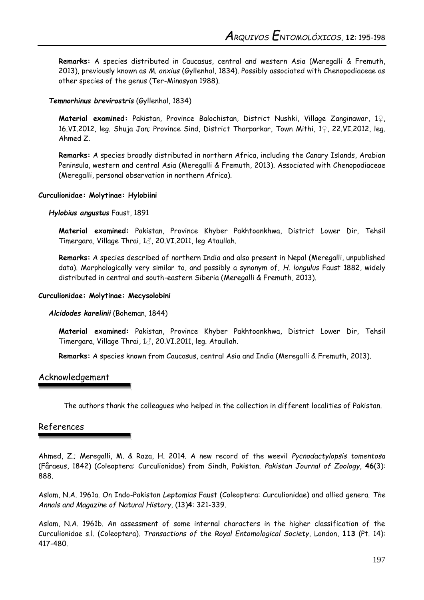**Remarks:** A species distributed in Caucasus, central and western Asia (Meregalli & Fremuth, 2013), previously known as *M. anxius* (Gyllenhal, 1834). Possibly associated with Chenopodiaceae as other species of the genus (Ter-Minasyan 1988).

#### *Temnorhinus brevirostris* (Gyllenhal, 1834)

**Material examined:** Pakistan, Province Balochistan, District Nushki, Village Zanginawar, 1♀, 16.VI.2012, leg. Shuja Jan; Province Sind, District Tharparkar, Town Mithi, 1♀, 22.VI.2012, leg. Ahmed Z.

**Remarks:** A species broadly distributed in northern Africa, including the Canary Islands, Arabian Peninsula, western and central Asia (Meregalli & Fremuth, 2013). Associated with Chenopodiaceae (Meregalli, personal observation in northern Africa).

#### **Curculionidae: Molytinae: Hylobiini**

*Hylobius angustus* Faust, 1891

**Material examined:** Pakistan, Province Khyber Pakhtoonkhwa, District Lower Dir, Tehsil Timergara, Village Thrai, 1♂, 20.VI.2011, leg Ataullah.

**Remarks:** A species described of northern India and also present in Nepal (Meregalli, unpublished data). Morphologically very similar to, and possibly a synonym of, *H. longulus* Faust 1882, widely distributed in central and south-eastern Siberia (Meregalli & Fremuth, 2013).

#### **Curculionidae: Molytinae: Mecysolobini**

#### *Alcidodes karelinii* (Boheman, 1844)

**Material examined:** Pakistan, Province Khyber Pakhtoonkhwa, District Lower Dir, Tehsil Timergara, Village Thrai, 1♂, 20.VI.2011, leg. Ataullah.

**Remarks:** A species known from Caucasus, central Asia and India (Meregalli & Fremuth, 2013).

#### Acknowledgement

The authors thank the colleagues who helped in the collection in different localities of Pakistan.

## References

Ahmed, Z.; Meregalli, M. & Raza, H. 2014. A new record of the weevil *Pycnodactylopsis tomentosa*  (Fåraeus, 1842) (Coleoptera: Curculionidae) from Sindh, Pakistan. *Pakistan Journal of Zoology,* **46**(3): 888.

Aslam, N.A. 1961a. On Indo-Pakistan *Leptomias* Faust (Coleoptera: Curculionidae) and allied genera. *The Annals and Magazine of Natural History*, (13)**4**: 321-339.

Aslam, N.A. 1961b. An assessment of some internal characters in the higher classification of the Curculionidae s.l. (Coleoptera). *Transactions of the Royal Entomological Society*, London, **113** (Pt. 14): 417-480.